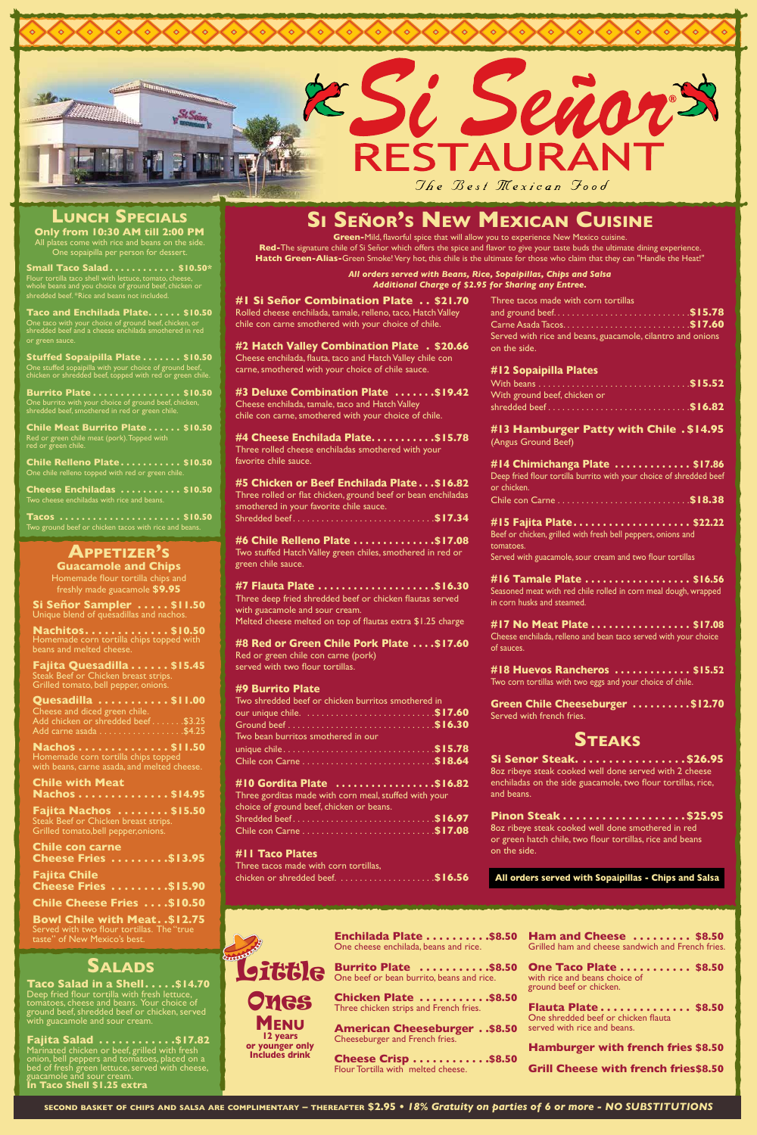#### **Guacamole and Chips**

Homemade flour tortilla chips and freshly made guacamole **\$9.95**

> **Burrito Plate ...........\$8.50** One beef or bean burrito, beans and rice.

One cheese enchilada, beans and rice.

**Chicken Plate ...........\$8.50** Three chicken strips and French fries.

**American Cheeseburger . . \$8.50** Cheeseburger and French fries.

**Cheese Crisp . . . . . . . . . . . . \$8.50** Flour Tortilla with melted cheese.

**Enchilada Plate..........\$8.50 Ham and Cheese ......... \$8.50** Grilled ham and cheese sandwich and French fries.

> **One Taco Plate ........... \$8.50** with rice and beans choice of ground beef or chicken.

**Flauta Plate.............. \$8.50** One shredded beef or chicken flauta served with rice and beans.

**Taco Salad in a Shell. . . . .\$14.70** Deep fried flour tortilla with fresh lettuce, tomatoes, cheese and beans. Your choice of ground beef, shredded beef or chicken, served with guacamole and sour cream.

**Hamburger with french fries \$8.50**

**Grill Cheese with french fries\$8.50**

# **Salads**

**#3 Deluxe Combination Plate .......\$19.42** Cheese enchilada, tamale, taco and Hatch Valley chile con carne, smothered with your choice of chile.

**#4 Cheese Enchilada Plate..........\$15.78** Three rolled cheese enchiladas smothered with your favorite chile sauce.

**#6 Chile Relleno Plate ..............\$17.08** Two stuffed Hatch Valley green chiles, smothered in red or green chile sauce.

**Fajita Salad. . \$17.82** Marinated chicken or beef, grilled with fresh onion, bell peppers and tomatoes, placed on a bed of fresh green lettuce, served with cheese, guacamole and sour cream. **In Taco Shell \$1.25 extra**

**#7 Flauta Plate .....................\$16.30** Three deep fried shredded beef or chicken flautas served with guacamole and sour cream. Melted cheese melted on top of flautas extra \$1.25 charge

**#8 Red or Green Chile Pork Plate ....\$17.60** Red or green chile con carne (pork)

**#1 Si Señor Combination Plate . . \$21.70** Rolled cheese enchilada, tamale, relleno, taco, Hatch Valley chile con carne smothered with your choice of chile.

**#2 Hatch Valley Combination Plate. . \$20.66** Cheese enchilada, flauta, taco and Hatch Valley chile con carne, smothered with your choice of chile sauce.

**#5 Chicken or Beef Enchilada Plate. . \$16.82** Three rolled or flat chicken, ground beef or bean enchiladas smothered in your favorite chile sauce. Shredded beef. . **\$17.34**

**Fajita Nachos ........\$15.50** Steak Beef or Chicken breast strips. Grilled tomato,bell pepper,onions.

served with two flour tortillas.

#### **#9 Burrito Plate**

| Two shredded beef or chicken burritos smothered in |  |
|----------------------------------------------------|--|
|                                                    |  |
|                                                    |  |
| Two bean burritos smothered in our                 |  |
|                                                    |  |
|                                                    |  |
|                                                    |  |

**#10 Gordita Plate . \$16.82**

Three gorditas made with corn meal, stuffed with your choice of ground beef, chicken or beans. Shredded beef. . **\$16.97** Chile con Carne. . **\$17.08**

**Green Chile Cheeseburger .........\$12.70** Served with french fries.

**Si Senor Steak. . . . . . . . . . . . . . . . \$26.95** 8oz ribeye steak cooked well done served with 2 cheese enchiladas on the side guacamole, two flour tortillas, rice, and beans.

#### **#11 Taco Plates** Three tacos made with corn tortillas, chicken or shredded beef. . **\$16.56**

**Green-**Mild, flavorful spice that will allow you to experience New Mexico cuisine. **Red-**The signature chile of Si Señor which offers the spice and flavor to give your taste buds the ultimate dining experience. **Hatch Green-Alias-**Green Smoke! Very hot, this chile is the ultimate for those who claim that they can "Handle the Heat!"

> *All orders served with Beans, Rice, Sopaipillas, Chips and Salsa Additional Charge of \$2.95 for Sharing any Entree.*

# **Appetizer's**

**Si Señor Sampler . . \$11.50** Unique blend of quesadillas and nachos.

**Nachitos. . . \$10.50** Homemade corn tortilla chips topped with beans and melted cheese.

**Tacos** ......................\$10.50 Two ground beef or chicken tacos with rice and beans.

**Fajita Quesadilla. . . \$15.45** Steak Beef or Chicken breast strips. Grilled tomato, bell pepper, onions.

| Quesadilla 511.00                  |  |
|------------------------------------|--|
| Cheese and diced green chile.      |  |
| Add chicken or shredded beef\$3.25 |  |
|                                    |  |

**Nachos . . . . . . . . . . . . . . \$11.50** Homemade corn tortilla chips topped with beans, carne asada, and melted cheese.

#### **Chile with Meat**

| Nachos \$14.95 |  |  |  |  |  |  |  |
|----------------|--|--|--|--|--|--|--|
|----------------|--|--|--|--|--|--|--|

| <b>Chile con carne</b><br><b>Cheese Fries \$13.95</b> |  |
|-------------------------------------------------------|--|
| <b>Fajita Chile</b><br><b>Cheese Fries 515.90</b>     |  |
| <b>Chile Cheese Fries \$10.50</b>                     |  |

**Bowl Chile with Meat. . \$12.75** Served with two flour tortillas. The "true taste" of New Mexico's best.

**second basket of chips and salsa are complimentary – thereafter \$2.95 •** *18% Gratuity on parties of 6 or more - NO SUBSTITUTIONS*

| Three tacos made with corn tortillas                       |  |
|------------------------------------------------------------|--|
|                                                            |  |
|                                                            |  |
| Served with rice and beans, guacamole, cilantro and onions |  |
| on the side.                                               |  |

#### **#12 Sopaipilla Plates**

: Seño

| With ground beef, chicken or |  |
|------------------------------|--|
| shredded beef\$16.82         |  |

**#13 Hamburger Patty with Chile. \$14.95** (Angus Ground Beef)

**#14 Chimichanga Plate. . . \$17.86** Deep fried flour tortilla burrito with your choice of shredded beef or chicken. Chile con Carne. . **\$18.38**

**#15 Fajita Plate. . . \$22.22** Beef or chicken, grilled with fresh bell peppers, onions and tomatoes. Served with guacamole, sour cream and two flour tortillas

**#16 Tamale Plate. . . \$16.56** Seasoned meat with red chile rolled in corn meal dough, wrapped in corn husks and steamed.

**#17 No Meat Plate. . . \$17.08** Cheese enchilada, relleno and bean taco served with your choice of sauces.

**#18 Huevos Rancheros. . . \$15.52** Two corn tortillas with two eggs and your choice of chile.

# **Steaks**

| Pinon Steak \$25.95                                                       |  |
|---------------------------------------------------------------------------|--|
| 802 ribeye steak cooked well done smothered in red                        |  |
| or green hatch chile, two flour tortillas, rice and beans<br>on the side. |  |
|                                                                           |  |

# **Si Señor's New Mexican Cuisine**

**RESTAURANT** 

The Best Mexican Food





**12 years or younger only Includes drink**

**All orders served with Sopaipillas - Chips and Salsa** 

**Small Taco Salad. . . \$10.50\*** Flour tortilla taco shell with lettuce, tomato, cheese, whole beans and you choice of ground beef, chicken or shredded beef. \*Rice and beans not included.

**Taco and Enchilada Plate. . . \$10.50** One taco with your choice of ground beef, chicken, or shredded beef and a cheese enchilada smothered in red or green sauce.

**Stuffed Sopaipilla Plate. . . \$10.50** One stuffed sopaipilla with your choice of ground beef, chicken or shredded beef, topped with red or green chile.

**Burrito Plate. . . \$10.50** One burrito with your choice of ground beef, chicken, shredded beef, smothered in red or green chile.

**Chile Meat Burrito Plate. . . \$10.50** Red or green chile meat (pork). Topped with red or green chile.

**Chile Relleno Plate. . . \$10.50** One chile relleno topped with red or green chile.

**Cheese Enchiladas. . . \$10.50** Two cheese enchiladas with rice and beans.



## **Only from 10:30 AM till 2:00 PM Lunch Specials**

All plates come with rice and beans on the side. One sopaipilla per person for dessert.